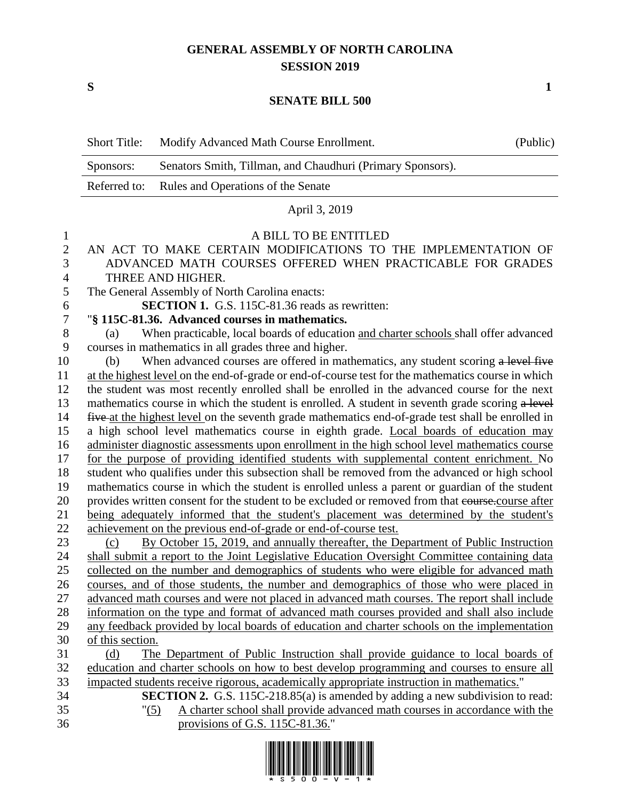## **GENERAL ASSEMBLY OF NORTH CAROLINA SESSION 2019**

**S 1**

## **SENATE BILL 500**

|                | <b>Short Title:</b>                                                                               | Modify Advanced Math Course Enrollment.                                                                                                                                                     | (Public) |  |
|----------------|---------------------------------------------------------------------------------------------------|---------------------------------------------------------------------------------------------------------------------------------------------------------------------------------------------|----------|--|
|                | Senators Smith, Tillman, and Chaudhuri (Primary Sponsors).<br>Sponsors:                           |                                                                                                                                                                                             |          |  |
|                | Referred to:                                                                                      | Rules and Operations of the Senate                                                                                                                                                          |          |  |
|                | April 3, 2019                                                                                     |                                                                                                                                                                                             |          |  |
| 1              | A BILL TO BE ENTITLED                                                                             |                                                                                                                                                                                             |          |  |
| $\mathbf{2}$   |                                                                                                   | AN ACT TO MAKE CERTAIN MODIFICATIONS TO THE IMPLEMENTATION OF                                                                                                                               |          |  |
| 3              |                                                                                                   | ADVANCED MATH COURSES OFFERED WHEN PRACTICABLE FOR GRADES                                                                                                                                   |          |  |
| $\overline{4}$ |                                                                                                   | THREE AND HIGHER.                                                                                                                                                                           |          |  |
| 5              |                                                                                                   | The General Assembly of North Carolina enacts:                                                                                                                                              |          |  |
| 6              |                                                                                                   | <b>SECTION 1.</b> G.S. 115C-81.36 reads as rewritten:                                                                                                                                       |          |  |
| 7              | "§ 115C-81.36. Advanced courses in mathematics.                                                   |                                                                                                                                                                                             |          |  |
| 8              | (a)                                                                                               | When practicable, local boards of education and charter schools shall offer advanced                                                                                                        |          |  |
| 9              |                                                                                                   | courses in mathematics in all grades three and higher.                                                                                                                                      |          |  |
| 10             | (b)                                                                                               | When advanced courses are offered in mathematics, any student scoring a level five                                                                                                          |          |  |
| 11             |                                                                                                   | at the highest level on the end-of-grade or end-of-course test for the mathematics course in which                                                                                          |          |  |
| 12             |                                                                                                   | the student was most recently enrolled shall be enrolled in the advanced course for the next                                                                                                |          |  |
| 13             | mathematics course in which the student is enrolled. A student in seventh grade scoring a level   |                                                                                                                                                                                             |          |  |
| 14             | five at the highest level on the seventh grade mathematics end-of-grade test shall be enrolled in |                                                                                                                                                                                             |          |  |
| 15             | a high school level mathematics course in eighth grade. Local boards of education may             |                                                                                                                                                                                             |          |  |
| 16             |                                                                                                   | administer diagnostic assessments upon enrollment in the high school level mathematics course                                                                                               |          |  |
| 17             |                                                                                                   | for the purpose of providing identified students with supplemental content enrichment. No                                                                                                   |          |  |
| 18             | student who qualifies under this subsection shall be removed from the advanced or high school     |                                                                                                                                                                                             |          |  |
| 19             | mathematics course in which the student is enrolled unless a parent or guardian of the student    |                                                                                                                                                                                             |          |  |
| 20             |                                                                                                   | provides written consent for the student to be excluded or removed from that course course after                                                                                            |          |  |
| 21             |                                                                                                   | being adequately informed that the student's placement was determined by the student's                                                                                                      |          |  |
| 22             |                                                                                                   | achievement on the previous end-of-grade or end-of-course test.                                                                                                                             |          |  |
| 23             | (c)                                                                                               | By October 15, 2019, and annually thereafter, the Department of Public Instruction                                                                                                          |          |  |
| 24             |                                                                                                   | shall submit a report to the Joint Legislative Education Oversight Committee containing data                                                                                                |          |  |
| 25             |                                                                                                   | collected on the number and demographics of students who were eligible for advanced math                                                                                                    |          |  |
| 26             |                                                                                                   | courses, and of those students, the number and demographics of those who were placed in                                                                                                     |          |  |
| 27<br>28       |                                                                                                   | advanced math courses and were not placed in advanced math courses. The report shall include<br>information on the type and format of advanced math courses provided and shall also include |          |  |
| 29             |                                                                                                   | any feedback provided by local boards of education and charter schools on the implementation                                                                                                |          |  |
| 30             | of this section.                                                                                  |                                                                                                                                                                                             |          |  |
| 31             | (d)                                                                                               | The Department of Public Instruction shall provide guidance to local boards of                                                                                                              |          |  |
| 32             |                                                                                                   | education and charter schools on how to best develop programming and courses to ensure all                                                                                                  |          |  |
| 33             |                                                                                                   | impacted students receive rigorous, academically appropriate instruction in mathematics."                                                                                                   |          |  |
| 34             |                                                                                                   | <b>SECTION 2.</b> G.S. 115C-218.85(a) is amended by adding a new subdivision to read:                                                                                                       |          |  |
| 35             |                                                                                                   | A charter school shall provide advanced math courses in accordance with the<br>"(5)                                                                                                         |          |  |
| 36             |                                                                                                   | provisions of G.S. 115C-81.36."                                                                                                                                                             |          |  |